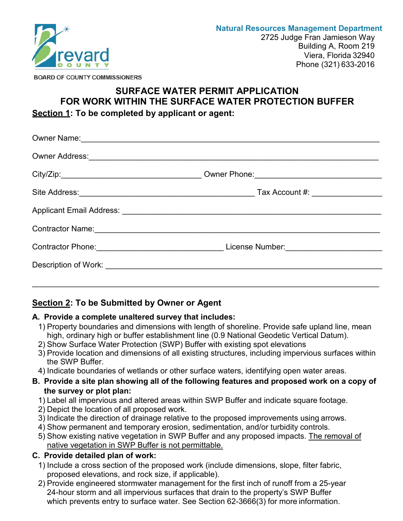

**BOARD OF COUNTY COMMISSIONERS** 

# **SURFACE WATER PERMIT APPLICATION FOR WORK WITHIN THE SURFACE WATER PROTECTION BUFFER Section 1: To be completed by applicant or agent:**

| Contractor Phone: Contractor Phone: |  |
|-------------------------------------|--|
|                                     |  |
|                                     |  |

# **Section 2: To be Submitted by Owner or Agent**

### **A. Provide a complete unaltered survey that includes:**

- 1) Property boundaries and dimensions with length of shoreline. Provide safe upland line, mean high, ordinary high or buffer establishment line (0.9 National Geodetic Vertical Datum).
- 2) Show Surface Water Protection (SWP) Buffer with existing spot elevations
- 3) Provide location and dimensions of all existing structures, including impervious surfaces within the SWP Buffer.
- 4) Indicate boundaries of wetlands or other surface waters, identifying open water areas.
- **B. Provide a site plan showing all of the following features and proposed work on a copy of the survey or plot plan:**
	- 1) Label all impervious and altered areas within SWP Buffer and indicate square footage.
	- 2) Depict the location of all proposed work.
	- 3) Indicate the direction of drainage relative to the proposed improvements using arrows.
	- 4) Show permanent and temporary erosion, sedimentation, and/or turbidity controls.
	- 5) Show existing native vegetation in SWP Buffer and any proposed impacts. The removal of native vegetation in SWP Buffer is not permittable.

# **C. Provide detailed plan of work:**

- 1) Include a cross section of the proposed work (include dimensions, slope, filter fabric, proposed elevations, and rock size, if applicable).
- 2) Provide engineered stormwater management for the first inch of runoff from a 25-year 24-hour storm and all impervious surfaces that drain to the property's SWP Buffer which prevents entry to surface water. See Section 62-3666(3) for more information.